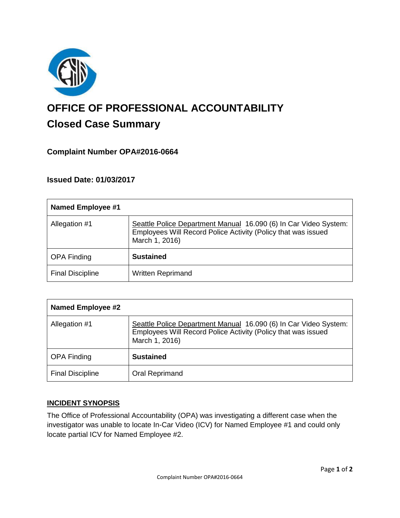

# **OFFICE OF PROFESSIONAL ACCOUNTABILITY Closed Case Summary**

## **Complaint Number OPA#2016-0664**

## **Issued Date: 01/03/2017**

| <b>Named Employee #1</b> |                                                                                                                                                     |
|--------------------------|-----------------------------------------------------------------------------------------------------------------------------------------------------|
| Allegation #1            | Seattle Police Department Manual 16.090 (6) In Car Video System:<br>Employees Will Record Police Activity (Policy that was issued<br>March 1, 2016) |
| <b>OPA Finding</b>       | <b>Sustained</b>                                                                                                                                    |
| <b>Final Discipline</b>  | <b>Written Reprimand</b>                                                                                                                            |

| <b>Named Employee #2</b> |                                                                                                                                                     |
|--------------------------|-----------------------------------------------------------------------------------------------------------------------------------------------------|
| Allegation #1            | Seattle Police Department Manual 16.090 (6) In Car Video System:<br>Employees Will Record Police Activity (Policy that was issued<br>March 1, 2016) |
| <b>OPA Finding</b>       | <b>Sustained</b>                                                                                                                                    |
| <b>Final Discipline</b>  | Oral Reprimand                                                                                                                                      |

## **INCIDENT SYNOPSIS**

The Office of Professional Accountability (OPA) was investigating a different case when the investigator was unable to locate In-Car Video (ICV) for Named Employee #1 and could only locate partial ICV for Named Employee #2.